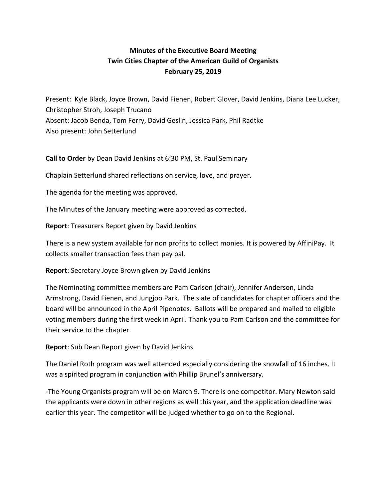## **Minutes of the Executive Board Meeting Twin Cities Chapter of the American Guild of Organists February 25, 2019**

Present: Kyle Black, Joyce Brown, David Fienen, Robert Glover, David Jenkins, Diana Lee Lucker, Christopher Stroh, Joseph Trucano Absent: Jacob Benda, Tom Ferry, David Geslin, Jessica Park, Phil Radtke Also present: John Setterlund

**Call to Order** by Dean David Jenkins at 6:30 PM, St. Paul Seminary

Chaplain Setterlund shared reflections on service, love, and prayer.

The agenda for the meeting was approved.

The Minutes of the January meeting were approved as corrected.

**Report:** Treasurers Report given by David Jenkins

There is a new system available for non profits to collect monies. It is powered by AffiniPay. It collects smaller transaction fees than pay pal.

**Report:** Secretary Joyce Brown given by David Jenkins

The Nominating committee members are Pam Carlson (chair), Jennifer Anderson, Linda Armstrong, David Fienen, and Jungjoo Park. The slate of candidates for chapter officers and the board will be announced in the April Pipenotes. Ballots will be prepared and mailed to eligible voting members during the first week in April. Thank you to Pam Carlson and the committee for their service to the chapter.

**Report:** Sub Dean Report given by David Jenkins

The Daniel Roth program was well attended especially considering the snowfall of 16 inches. It was a spirited program in conjunction with Phillip Brunel's anniversary.

-The Young Organists program will be on March 9. There is one competitor. Mary Newton said the applicants were down in other regions as well this year, and the application deadline was earlier this year. The competitor will be judged whether to go on to the Regional.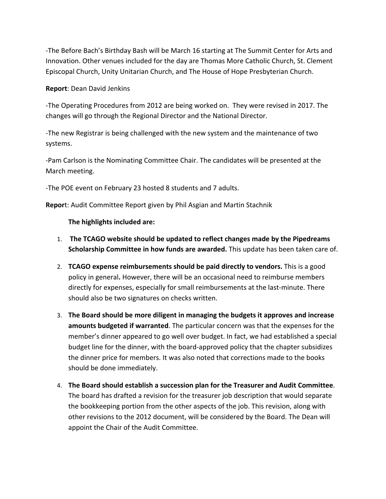-The Before Bach's Birthday Bash will be March 16 starting at The Summit Center for Arts and Innovation. Other venues included for the day are Thomas More Catholic Church, St. Clement Episcopal Church, Unity Unitarian Church, and The House of Hope Presbyterian Church.

**Report: Dean David Jenkins** 

-The Operating Procedures from 2012 are being worked on. They were revised in 2017. The changes will go through the Regional Director and the National Director.

-The new Registrar is being challenged with the new system and the maintenance of two systems. 

-Pam Carlson is the Nominating Committee Chair. The candidates will be presented at the March meeting.

-The POE event on February 23 hosted 8 students and 7 adults.

**Report:** Audit Committee Report given by Phil Asgian and Martin Stachnik

**The highlights included are:** 

- 1. The TCAGO website should be updated to reflect changes made by the Pipedreams **Scholarship Committee in how funds are awarded.** This update has been taken care of.
- 2. **TCAGO expense reimbursements should be paid directly to vendors.** This is a good policy in general. However, there will be an occasional need to reimburse members directly for expenses, especially for small reimbursements at the last-minute. There should also be two signatures on checks written.
- 3. The Board should be more diligent in managing the budgets it approves and increase **amounts budgeted if warranted**. The particular concern was that the expenses for the member's dinner appeared to go well over budget. In fact, we had established a special budget line for the dinner, with the board-approved policy that the chapter subsidizes the dinner price for members. It was also noted that corrections made to the books should be done immediately.
- 4. The Board should establish a succession plan for the Treasurer and Audit Committee. The board has drafted a revision for the treasurer job description that would separate the bookkeeping portion from the other aspects of the job. This revision, along with other revisions to the 2012 document, will be considered by the Board. The Dean will appoint the Chair of the Audit Committee.